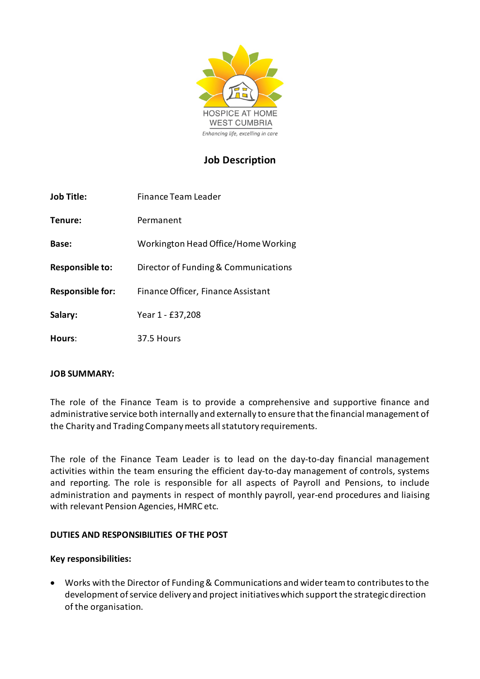

## **Job Description**

| <b>Job Title:</b>       | Finance Team Leader                  |  |
|-------------------------|--------------------------------------|--|
| Tenure:                 | Permanent                            |  |
| Base:                   | Workington Head Office/Home Working  |  |
| Responsible to:         | Director of Funding & Communications |  |
| <b>Responsible for:</b> | Finance Officer, Finance Assistant   |  |
| Salary:                 | Year 1 - £37,208                     |  |
| Hours:                  | 37.5 Hours                           |  |

### **JOB SUMMARY:**

The role of the Finance Team is to provide a comprehensive and supportive finance and administrative service both internally and externally to ensure that the financial management of the Charity and Trading Company meets all statutory requirements.

The role of the Finance Team Leader is to lead on the day-to-day financial management activities within the team ensuring the efficient day-to-day management of controls, systems and reporting. The role is responsible for all aspects of Payroll and Pensions, to include administration and payments in respect of monthly payroll, year-end procedures and liaising with relevant Pension Agencies, HMRC etc.

#### **DUTIES AND RESPONSIBILITIES OF THE POST**

#### **Key responsibilities:**

• Works with the Director of Funding & Communications and wider team to contributes to the development of service delivery and project initiatives which support the strategic direction of the organisation.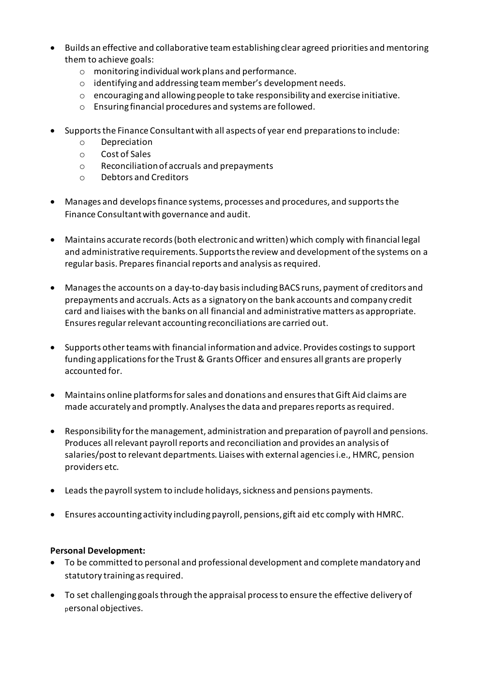- Builds an effective and collaborative team establishing clear agreed priorities and mentoring them to achieve goals:
	- o monitoring individual work plans and performance.
	- o identifying and addressing team member's development needs.
	- $\circ$  encouraging and allowing people to take responsibility and exercise initiative.
	- o Ensuring financial procedures and systems are followed.
- Supports the Finance Consultant with all aspects of year end preparations to include:
	- o Depreciation
	- o Cost of Sales
	- o Reconciliation of accruals and prepayments
	- o Debtors and Creditors
- Manages and develops finance systems, processes and procedures, and supports the Finance Consultantwith governance and audit.
- Maintains accurate records (both electronic and written) which comply with financial legal and administrative requirements. Supports the review and development of the systems on a regular basis. Prepares financial reports and analysis as required.
- Managesthe accounts on a day-to-day basis including BACS runs, payment of creditors and prepayments and accruals. Acts as a signatory on the bank accounts and company credit card and liaises with the banks on all financial and administrative matters as appropriate. Ensures regular relevant accounting reconciliations are carried out.
- Supports other teams with financial information and advice. Provides costings to support funding applications for the Trust & Grants Officer and ensures all grants are properly accounted for.
- Maintains online platforms for sales and donations and ensures that Gift Aid claims are made accurately and promptly. Analyses the data and prepares reports as required.
- Responsibility for the management, administration and preparation of payroll and pensions. Produces all relevant payroll reports and reconciliation and provides an analysis of salaries/post to relevant departments. Liaises with external agencies i.e., HMRC, pension providers etc.
- Leads the payroll system to include holidays, sickness and pensions payments.
- Ensures accounting activity including payroll, pensions, gift aid etc comply with HMRC.

### **Personal Development:**

- To be committed to personal and professional development and complete mandatory and statutory training as required.
- To set challenging goals through the appraisal process to ensure the effective delivery of personal objectives.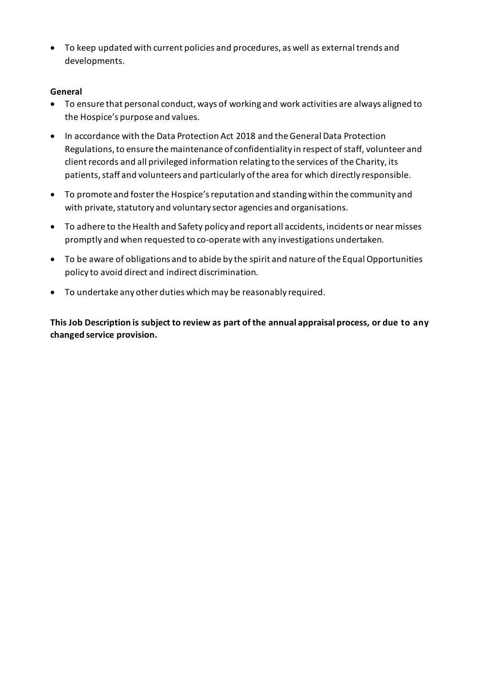• To keep updated with current policies and procedures, as well as external trends and developments.

### **General**

- To ensure that personal conduct, ways of working and work activities are always aligned to the Hospice's purpose and values.
- In accordance with the Data Protection Act 2018 and the General Data Protection Regulations, to ensure the maintenance of confidentiality in respect of staff, volunteer and client records and all privileged information relating to the services of the Charity, its patients, staff and volunteers and particularly of the area for which directly responsible.
- To promote and foster the Hospice's reputation and standing within the community and with private, statutory and voluntary sector agencies and organisations.
- To adhere to the Health and Safety policy and report all accidents, incidents or near misses promptly and when requested to co-operate with any investigations undertaken.
- To be aware of obligations and to abide by the spirit and nature of the Equal Opportunities policy to avoid direct and indirect discrimination.
- To undertake any other duties which may be reasonably required.

**This Job Description is subject to review as part of the annual appraisal process, or due to any changed service provision.**